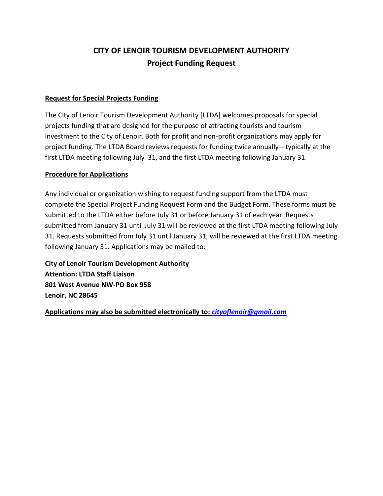# **CITY OF LENOIR TOURISM DEVELOPMENT AUTHORITY Project Funding Request**

### **Request for Special Projects Funding**

The City of Lenoir Tourism Development Authority [LTDA] welcomes proposals for special projects funding that are designed for the purpose of attracting tourists and tourism investment to the City of Lenoir. Both for profit and non-profit organizations may apply for project funding. The LTDA Board reviews requests for funding twice annually—typically at the first LTDA meeting following July 31, and the first LTDA meeting following January 31.

#### **Procedure for Applications**

Any individual or organization wishing to request funding support from the LTDA must complete the Special Project Funding Request Form and the Budget Form. These forms must be submitted to the LTDA either before July 31 or before January 31 of each year. Requests submitted from January 31 until July 31 will be reviewed at the first LTDA meeting following July 31. Requests submitted from July 31 until January 31, will be reviewed at the first LTDA meeting following January 31. Applications may be mailed to:

**City of Lenoir Tourism Development Authority Attention: LTDA Staff Liaison 801 West Avenue NW-PO Box 958 Lenoir, NC 28645** 

**Applications may also be submitted electronically to:** *[cityoflenoir@gmail.com](mailto:cityoflenoir@gmail.com)*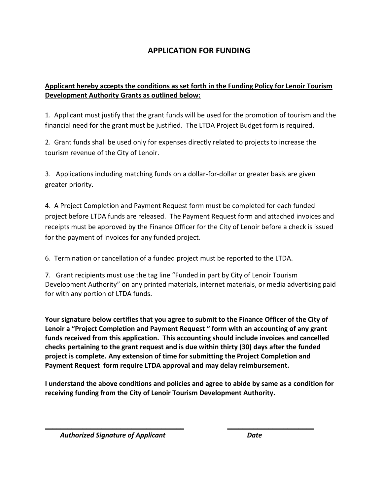## **APPLICATION FOR FUNDING**

### **Applicant hereby accepts the conditions as set forth in the Funding Policy for Lenoir Tourism Development Authority Grants as outlined below:**

1. Applicant must justify that the grant funds will be used for the promotion of tourism and the financial need for the grant must be justified. The LTDA Project Budget form is required.

2. Grant funds shall be used only for expenses directly related to projects to increase the tourism revenue of the City of Lenoir.

3. Applications including matching funds on a dollar-for-dollar or greater basis are given greater priority.

4. A Project Completion and Payment Request form must be completed for each funded project before LTDA funds are released. The Payment Request form and attached invoices and receipts must be approved by the Finance Officer for the City of Lenoir before a check is issued for the payment of invoices for any funded project.

6. Termination or cancellation of a funded project must be reported to the LTDA.

7. Grant recipients must use the tag line "Funded in part by City of Lenoir Tourism Development Authority" on any printed materials, internet materials, or media advertising paid for with any portion of LTDA funds.

**Your signature below certifies that you agree to submit to the Finance Officer of the City of Lenoir a "Project Completion and Payment Request " form with an accounting of any grant funds received from this application. This accounting should include invoices and cancelled checks pertaining to the grant request and is due within thirty (30) days after the funded project is complete. Any extension of time for submitting the Project Completion and Payment Request form require LTDA approval and may delay reimbursement.** 

**I understand the above conditions and policies and agree to abide by same as a condition for receiving funding from the City of Lenoir Tourism Development Authority.** 

*\_\_\_\_\_\_\_\_\_\_\_\_\_\_\_\_\_\_\_\_\_\_\_\_\_\_\_\_\_\_\_\_\_\_\_\_\_ \_\_\_\_\_\_\_\_\_\_\_\_\_\_\_\_\_\_\_\_\_\_\_* 

 *Authorized Signature of Applicant Date*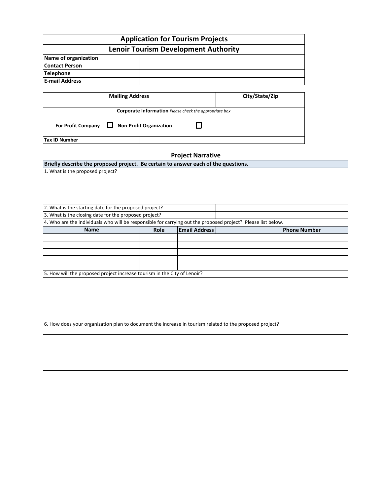|                                                                                                                                                                                                                                 |                                | <b>Application for Tourism Projects</b>                |                |                     |
|---------------------------------------------------------------------------------------------------------------------------------------------------------------------------------------------------------------------------------|--------------------------------|--------------------------------------------------------|----------------|---------------------|
|                                                                                                                                                                                                                                 |                                | <b>Lenoir Tourism Development Authority</b>            |                |                     |
| Name of organization                                                                                                                                                                                                            |                                |                                                        |                |                     |
| <b>Contact Person</b>                                                                                                                                                                                                           |                                |                                                        |                |                     |
| <b>Telephone</b>                                                                                                                                                                                                                |                                |                                                        |                |                     |
| <b>E-mail Address</b>                                                                                                                                                                                                           |                                |                                                        |                |                     |
| <b>Mailing Address</b>                                                                                                                                                                                                          |                                |                                                        | City/State/Zip |                     |
|                                                                                                                                                                                                                                 |                                |                                                        |                |                     |
|                                                                                                                                                                                                                                 |                                | Corporate Information Please check the appropriate box |                |                     |
| <b>For Profit Company</b>                                                                                                                                                                                                       | <b>Non-Profit Organization</b> | l l                                                    |                |                     |
| <b>Tax ID Number</b>                                                                                                                                                                                                            |                                |                                                        |                |                     |
|                                                                                                                                                                                                                                 |                                |                                                        |                |                     |
|                                                                                                                                                                                                                                 |                                | <b>Project Narrative</b>                               |                |                     |
| Briefly describe the proposed project. Be certain to answer each of the questions.<br>1. What is the proposed project?                                                                                                          |                                |                                                        |                |                     |
|                                                                                                                                                                                                                                 |                                |                                                        |                |                     |
| 2. What is the starting date for the proposed project?<br>3. What is the closing date for the proposed project?<br>4. Who are the individuals who will be responsible for carrying out the proposed project? Please list below. |                                |                                                        |                |                     |
| Name                                                                                                                                                                                                                            | Role                           | <b>Email Address</b>                                   |                | <b>Phone Number</b> |
|                                                                                                                                                                                                                                 |                                |                                                        |                |                     |
|                                                                                                                                                                                                                                 |                                |                                                        |                |                     |
|                                                                                                                                                                                                                                 |                                |                                                        |                |                     |
|                                                                                                                                                                                                                                 |                                |                                                        |                |                     |
| 5. How will the proposed project increase tourism in the City of Lenoir?                                                                                                                                                        |                                |                                                        |                |                     |
|                                                                                                                                                                                                                                 |                                |                                                        |                |                     |
|                                                                                                                                                                                                                                 |                                |                                                        |                |                     |
|                                                                                                                                                                                                                                 |                                |                                                        |                |                     |
|                                                                                                                                                                                                                                 |                                |                                                        |                |                     |
|                                                                                                                                                                                                                                 |                                |                                                        |                |                     |
| 6. How does your organization plan to document the increase in tourism related to the proposed project?                                                                                                                         |                                |                                                        |                |                     |
|                                                                                                                                                                                                                                 |                                |                                                        |                |                     |
|                                                                                                                                                                                                                                 |                                |                                                        |                |                     |
|                                                                                                                                                                                                                                 |                                |                                                        |                |                     |
|                                                                                                                                                                                                                                 |                                |                                                        |                |                     |
|                                                                                                                                                                                                                                 |                                |                                                        |                |                     |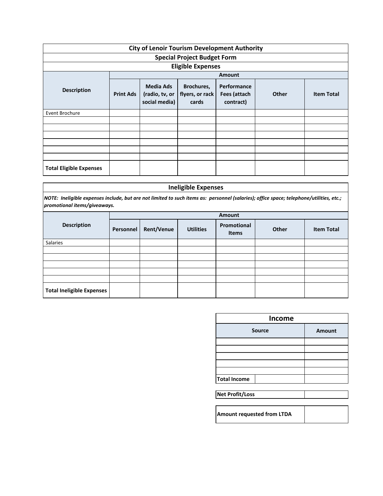| <b>City of Lenoir Tourism Development Authority</b> |                  |                                              |                                        |                                          |       |                   |
|-----------------------------------------------------|------------------|----------------------------------------------|----------------------------------------|------------------------------------------|-------|-------------------|
| <b>Special Project Budget Form</b>                  |                  |                                              |                                        |                                          |       |                   |
| <b>Eligible Expenses</b>                            |                  |                                              |                                        |                                          |       |                   |
|                                                     |                  | <b>Amount</b>                                |                                        |                                          |       |                   |
| <b>Description</b>                                  | <b>Print Ads</b> | Media Ads<br>(radio, tv, or<br>social media) | Brochures,<br>flyers, or rack<br>cards | Performance<br>Fees (attach<br>contract) | Other | <b>Item Total</b> |
| Event Brochure                                      |                  |                                              |                                        |                                          |       |                   |
|                                                     |                  |                                              |                                        |                                          |       |                   |
|                                                     |                  |                                              |                                        |                                          |       |                   |
|                                                     |                  |                                              |                                        |                                          |       |                   |
|                                                     |                  |                                              |                                        |                                          |       |                   |
|                                                     |                  |                                              |                                        |                                          |       |                   |
|                                                     |                  |                                              |                                        |                                          |       |                   |
| <b>Total Eligible Expenses</b>                      |                  |                                              |                                        |                                          |       |                   |

### **Ineligible Expenses**

*NOTE: Ineligible expenses include, but are not limited to such items as: personnel (salaries); office space; telephone/utilities, etc.; promotional items/giveaways.*

|                                  | Amount    |                   |                  |                      |       |                   |  |
|----------------------------------|-----------|-------------------|------------------|----------------------|-------|-------------------|--|
| <b>Description</b>               | Personnel | <b>Rent/Venue</b> | <b>Utilities</b> | Promotional<br>Items | Other | <b>Item Total</b> |  |
| Salaries                         |           |                   |                  |                      |       |                   |  |
|                                  |           |                   |                  |                      |       |                   |  |
|                                  |           |                   |                  |                      |       |                   |  |
|                                  |           |                   |                  |                      |       |                   |  |
|                                  |           |                   |                  |                      |       |                   |  |
|                                  |           |                   |                  |                      |       |                   |  |
| <b>Total Ineligible Expenses</b> |           |                   |                  |                      |       |                   |  |

| <b>Income</b>              |               |  |  |  |
|----------------------------|---------------|--|--|--|
| <b>Source</b>              | <b>Amount</b> |  |  |  |
|                            |               |  |  |  |
|                            |               |  |  |  |
|                            |               |  |  |  |
|                            |               |  |  |  |
|                            |               |  |  |  |
| <b>Total Income</b>        |               |  |  |  |
|                            |               |  |  |  |
| Net Profit/Loss            |               |  |  |  |
|                            |               |  |  |  |
| Amount requested from LTDA |               |  |  |  |